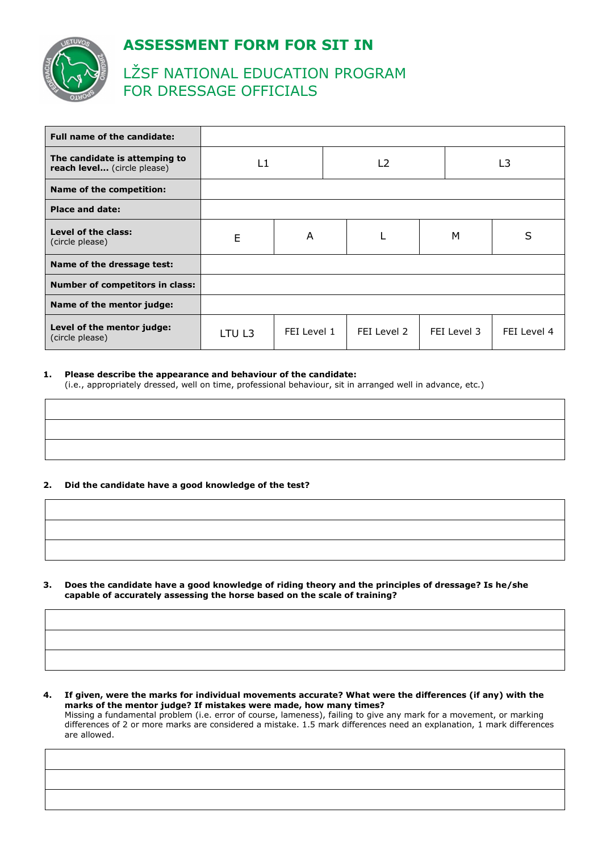



# LŽSF NATIONAL EDUCATION PROGRAM FOR DRESSAGE OFFICIALS

| <b>Full name of the candidate:</b>                           |        |             |                |             |  |             |             |
|--------------------------------------------------------------|--------|-------------|----------------|-------------|--|-------------|-------------|
| The candidate is attemping to<br>reach level (circle please) | l 1    |             | L <sub>2</sub> |             |  | L3          |             |
| Name of the competition:                                     |        |             |                |             |  |             |             |
| <b>Place and date:</b>                                       |        |             |                |             |  |             |             |
| Level of the class:<br>(circle please)                       | E      | A           |                |             |  | M           | S           |
| Name of the dressage test:                                   |        |             |                |             |  |             |             |
| <b>Number of competitors in class:</b>                       |        |             |                |             |  |             |             |
| Name of the mentor judge:                                    |        |             |                |             |  |             |             |
| Level of the mentor judge:<br>(circle please)                | LTU L3 | FEI Level 1 |                | FEI Level 2 |  | FEI Level 3 | FEI Level 4 |

### **1. Please describe the appearance and behaviour of the candidate:**

(i.e., appropriately dressed, well on time, professional behaviour, sit in arranged well in advance, etc.)

# **2. Did the candidate have a good knowledge of the test?**

**3. Does the candidate have a good knowledge of riding theory and the principles of dressage? Is he/she capable of accurately assessing the horse based on the scale of training?** 

**4. If given, were the marks for individual movements accurate? What were the differences (if any) with the marks of the mentor judge? If mistakes were made, how many times?**  Missing a fundamental problem (i.e. error of course, lameness), failing to give any mark for a movement, or marking differences of 2 or more marks are considered a mistake. 1.5 mark differences need an explanation, 1 mark differences are allowed.